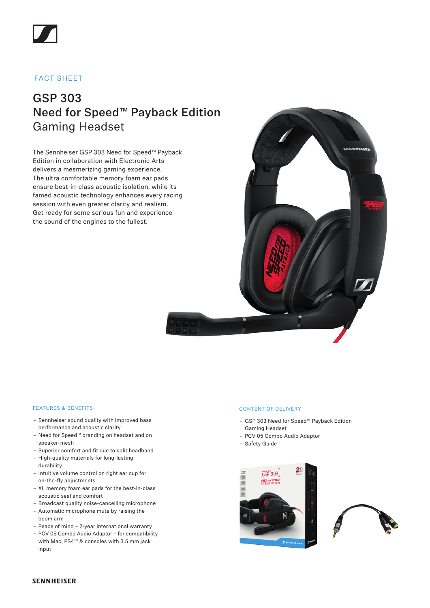

### FACT SHEET

## GSP 303 Need for Speed™ Payback Edition Gaming Headset

The Sennheiser GSP 303 Need for Speed™ Payback Edition in collaboration with Electronic Arts delivers a mesmerizing gaming experience. The ultra comfortable memory foam ear pads ensure best-in-class acoustic isolation, while its famed acoustic technology enhances every racing session with even greater clarity and realism. Get ready for some serious fun and experience the sound of the engines to the fullest.



### FEATURES & BENEFITS

- Sennheiser sound quality with improved bass performance and acoustic clarity
- Need for Speed™ branding on headset and on speaker-mesh
- Superior comfort and fit due to split headband
- High-quality materials for long-lasting durability
- Intuitive volume control on right ear cup for on-the-fly adjustments
- XL memory foam ear pads for the best-in-class acoustic seal and comfort
- Broadcast quality noise-cancelling microphone
- Automatic microphone mute by raising the boom arm
- Peace of mind 2-year international warranty
- PCV 05 Combo Audio Adaptor for compatibility with Mac, PS4™ & consoles with 3.5 mm jack input

#### CONTENT OF DELIVERY

- GSP 303 Need for Speed™ Payback Edition Gaming Headset
- PCV 05 Combo Audio Adaptor
- Safety Guide





### **SENNHEISER**